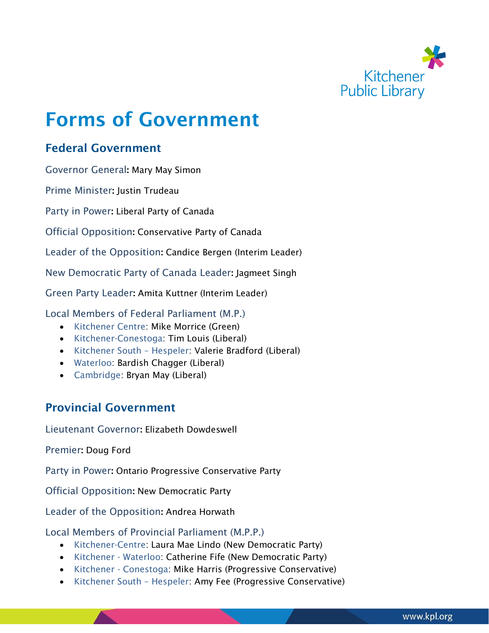

# Forms of Government

# Federal Government

Governor General: Mary May Simon

Prime Minister: Justin Trudeau

Party in Power: Liberal Party of Canada

Official Opposition: Conservative Party of Canada

Leader of the Opposition: Candice Bergen (Interim Leader)

New Democratic Party of Canada Leader: Jagmeet Singh

Green Party Leader: Amita Kuttner (Interim Leader)

Local Members of Federal Parliament (M.P.)

- Kitchener Centre: Mike Morrice (Green)
- Kitchener-Conestoga: Tim Louis (Liberal)
- Kitchener South Hespeler: Valerie Bradford (Liberal)
- Waterloo: Bardish Chagger (Liberal)
- Cambridge: Bryan May (Liberal)

# Provincial Government

Lieutenant Governor: Elizabeth Dowdeswell

Premier: Doug Ford

Party in Power: Ontario Progressive Conservative Party

Official Opposition: New Democratic Party

Leader of the Opposition: Andrea Horwath

Local Members of Provincial Parliament (M.P.P.)

- Kitchener-Centre: Laura Mae Lindo (New Democratic Party)
- Kitchener Waterloo: Catherine Fife (New Democratic Party)
- Kitchener Conestoga: Mike Harris (Progressive Conservative)
- Kitchener South Hespeler: Amy Fee (Progressive Conservative)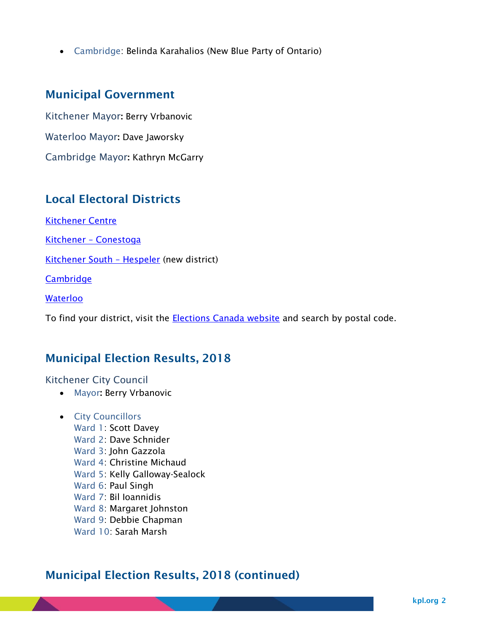• Cambridge: Belinda Karahalios (New Blue Party of Ontario)

## Municipal Government

Kitchener Mayor: Berry Vrbanovic Waterloo Mayor: Dave Jaworsky

Cambridge Mayor: Kathryn McGarry

## Local Electoral Districts

[Kitchener Centre](http://www.elections.ca/Scripts/vis/EDInfo?L=e&ED=35045&EV=99&EV_TYPE=6&PROV=ON&PROVID=35&QID=-1&PAGEID=21)

Kitchener – [Conestoga](http://www.elections.ca/Scripts/vis/Map?L=e&ED=35046&EV=99&EV_TYPE=6&PROV=ON&PROVID=35&QID=-1&PAGEID=27)

[Kitchener South](http://www.elections.ca/Scripts/vis/Map?L=e&ED=35047&EV=99&EV_TYPE=6&PROV=ON&PROVID=35&QID=-1&PAGEID=27) – Hespeler (new district)

**[Cambridge](http://www.elections.ca/Scripts/vis/Map?L=e&ED=35016&EV=99&EV_TYPE=6&PROV=ON&PROVID=35&QID=-1&PAGEID=27)** 

[Waterloo](http://www.elections.ca/Scripts/vis/Map?L=e&ED=35112&EV=99&EV_TYPE=6&PROV=ON&PROVID=35&QID=-1&PAGEID=27)

To find your district, visit the **Elections Canada website** and search by postal code.

## Municipal Election Results, 2018

## Kitchener City Council

- Mayor: Berry Vrbanovic
- City Councillors Ward 1: Scott Davey Ward 2: Dave Schnider Ward 3: John Gazzola Ward 4: Christine Michaud Ward 5: Kelly Galloway-Sealock Ward 6: Paul Singh Ward 7: Bil Ioannidis Ward 8: Margaret Johnston Ward 9: Debbie Chapman Ward 10: Sarah Marsh

## Municipal Election Results, 2018 (continued)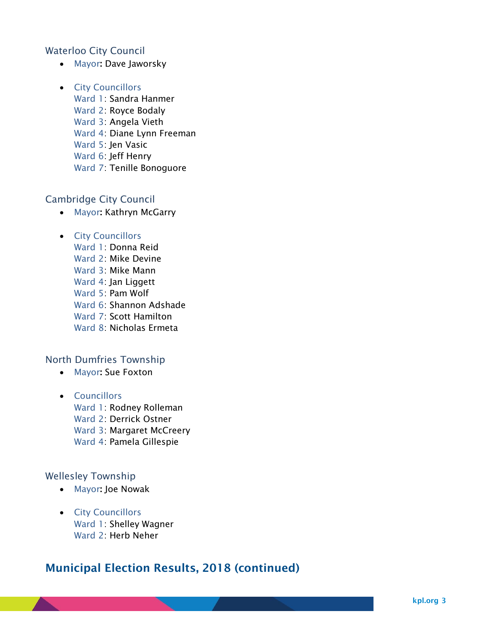### Waterloo City Council

• Mayor: Dave Jaworsky

#### • City Councillors

Ward 1: Sandra Hanmer

- Ward 2: Royce Bodaly
- Ward 3: Angela Vieth
- Ward 4: Diane Lynn Freeman

Ward 5: Jen Vasic

Ward 6: Jeff Henry

Ward 7: Tenille Bonoguore

#### Cambridge City Council

• Mayor: Kathryn McGarry

# • City Councillors

- Ward 1: Donna Reid
- Ward 2: Mike Devine
- Ward 3: Mike Mann
- Ward 4: Jan Liggett
- Ward 5: Pam Wolf
- Ward 6: Shannon Adshade
- Ward 7: Scott Hamilton
- Ward 8: Nicholas Ermeta

## North Dumfries Township

- Mayor: Sue Foxton
- Councillors Ward 1: Rodney Rolleman Ward 2: Derrick Ostner Ward 3: Margaret McCreery Ward 4: Pamela Gillespie

## Wellesley Township

- Mayor: Joe Nowak
- City Councillors Ward 1: Shelley Wagner Ward 2: Herb Neher

# Municipal Election Results, 2018 (continued)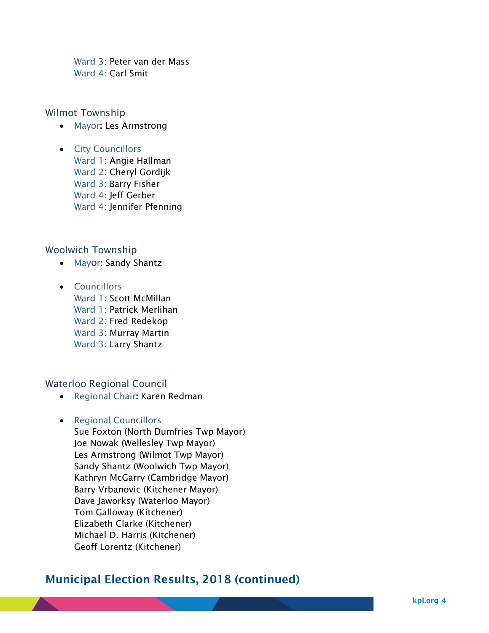Ward 3: Peter van der Mass Ward 4: Carl Smit

#### Wilmot Township

- Mayor: Les Armstrong
- City Councillors
	- Ward 1: Angie Hallman
	- Ward 2: Cheryl Gordijk
	- Ward 3: Barry Fisher
	- Ward 4: Jeff Gerber
	- Ward 4: Jennifer Pfenning

### Woolwich Township

- Mayor: Sandy Shantz
- Councillors
	- Ward 1: Scott McMillan
	- Ward 1: Patrick Merlihan
	- Ward 2: Fred Redekop
	- Ward 3: Murray Martin
	- Ward 3: Larry Shantz

#### Waterloo Regional Council

• Regional Chair: Karen Redman

## • Regional Councillors

Sue Foxton (North Dumfries Twp Mayor) Joe Nowak (Wellesley Twp Mayor) Les Armstrong (Wilmot Twp Mayor) Sandy Shantz (Woolwich Twp Mayor) Kathryn McGarry (Cambridge Mayor) Barry Vrbanovic (Kitchener Mayor) Dave Jaworksy (Waterloo Mayor) Tom Galloway (Kitchener) Elizabeth Clarke (Kitchener) Michael D. Harris (Kitchener) Geoff Lorentz (Kitchener)

## Municipal Election Results, 2018 (continued)